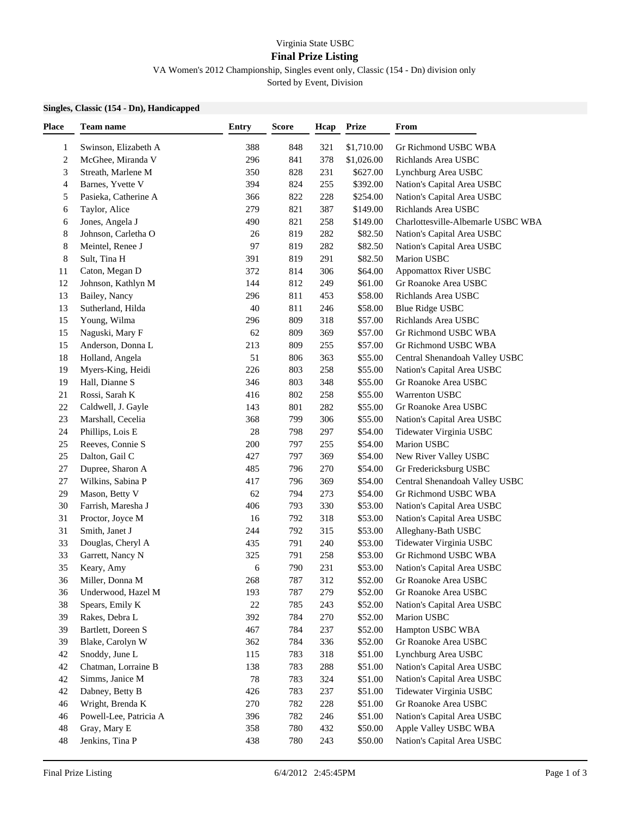## Virginia State USBC

## **Final Prize Listing**

VA Women's 2012 Championship, Singles event only, Classic (154 - Dn) division only

Sorted by Event, Division

## **Singles, Classic (154 - Dn), Handicapped**

| <b>Place</b>            | Team name                            | <b>Entry</b> | <b>Score</b> | Hcap | <b>Prize</b> | From                                           |  |
|-------------------------|--------------------------------------|--------------|--------------|------|--------------|------------------------------------------------|--|
| 1                       | Swinson, Elizabeth A                 | 388          | 848          | 321  | \$1,710.00   | Gr Richmond USBC WBA                           |  |
| $\overline{\mathbf{c}}$ | McGhee, Miranda V                    | 296          | 841          | 378  | \$1,026.00   | Richlands Area USBC                            |  |
| 3                       | Streath, Marlene M                   | 350          | 828          | 231  | \$627.00     | Lynchburg Area USBC                            |  |
| 4                       | Barnes, Yvette V                     | 394          | 824          | 255  | \$392.00     | Nation's Capital Area USBC                     |  |
| 5                       | Pasieka, Catherine A                 | 366          | 822          | 228  | \$254.00     | Nation's Capital Area USBC                     |  |
| 6                       | Taylor, Alice                        | 279          | 821          | 387  | \$149.00     | Richlands Area USBC                            |  |
| 6                       | Jones, Angela J                      | 490          | 821          | 258  | \$149.00     | Charlottesville-Albemarle USBC WBA             |  |
| 8                       | Johnson, Carletha O                  | 26           | 819          | 282  | \$82.50      | Nation's Capital Area USBC                     |  |
| 8                       | Meintel, Renee J                     | 97           | 819          | 282  | \$82.50      | Nation's Capital Area USBC                     |  |
| 8                       | Sult, Tina H                         | 391          | 819          | 291  | \$82.50      | Marion USBC                                    |  |
| 11                      | Caton, Megan D                       | 372          | 814          | 306  | \$64.00      | <b>Appomattox River USBC</b>                   |  |
| 12                      | Johnson, Kathlyn M                   | 144          | 812          | 249  | \$61.00      | Gr Roanoke Area USBC                           |  |
| 13                      | Bailey, Nancy                        | 296          | 811          | 453  | \$58.00      | Richlands Area USBC                            |  |
| 13                      | Sutherland, Hilda                    | 40           | 811          | 246  | \$58.00      | <b>Blue Ridge USBC</b>                         |  |
| 15                      | Young, Wilma                         | 296          | 809          | 318  | \$57.00      | Richlands Area USBC                            |  |
| 15                      | Naguski, Mary F                      | 62           | 809          | 369  | \$57.00      | Gr Richmond USBC WBA                           |  |
| 15                      | Anderson, Donna L                    | 213          | 809          | 255  | \$57.00      | Gr Richmond USBC WBA                           |  |
| 18                      | Holland, Angela                      | 51           | 806          | 363  | \$55.00      | Central Shenandoah Valley USBC                 |  |
| 19                      | Myers-King, Heidi                    | 226          | 803          | 258  | \$55.00      | Nation's Capital Area USBC                     |  |
| 19                      | Hall, Dianne S                       | 346          | 803          | 348  | \$55.00      | Gr Roanoke Area USBC                           |  |
| 21                      | Rossi, Sarah K                       | 416          | 802          | 258  | \$55.00      | Warrenton USBC                                 |  |
| 22                      | Caldwell, J. Gayle                   | 143          | 801          | 282  | \$55.00      | Gr Roanoke Area USBC                           |  |
| 23                      | Marshall, Cecelia                    | 368          | 799          | 306  | \$55.00      | Nation's Capital Area USBC                     |  |
| 24                      | Phillips, Lois E                     | 28           | 798          | 297  | \$54.00      | Tidewater Virginia USBC                        |  |
| 25                      | Reeves, Connie S                     | 200          | 797          | 255  | \$54.00      | Marion USBC                                    |  |
| 25                      | Dalton, Gail C                       | 427          | 797          | 369  | \$54.00      | New River Valley USBC                          |  |
| 27                      | Dupree, Sharon A                     | 485          | 796          | 270  | \$54.00      | Gr Fredericksburg USBC                         |  |
| 27                      | Wilkins, Sabina P                    | 417          | 796          | 369  | \$54.00      | Central Shenandoah Valley USBC                 |  |
| 29                      | Mason, Betty V                       | 62           | 794          | 273  | \$54.00      | Gr Richmond USBC WBA                           |  |
| 30                      | Farrish, Maresha J                   | 406          | 793          | 330  | \$53.00      | Nation's Capital Area USBC                     |  |
| 31                      | Proctor, Joyce M                     | 16           | 792          | 318  | \$53.00      | Nation's Capital Area USBC                     |  |
| 31                      | Smith, Janet J                       | 244          | 792          | 315  | \$53.00      |                                                |  |
| 33                      | Douglas, Cheryl A                    | 435          | 791          | 240  | \$53.00      | Alleghany-Bath USBC<br>Tidewater Virginia USBC |  |
| 33                      | Garrett, Nancy N                     | 325          | 791          | 258  | \$53.00      | Gr Richmond USBC WBA                           |  |
| 35                      | Keary, Amy                           | 6            | 790          | 231  | \$53.00      | Nation's Capital Area USBC                     |  |
| 36                      | Miller, Donna M                      | 268          | 787          | 312  | \$52.00      | Gr Roanoke Area USBC                           |  |
| 36                      |                                      | 193          | 787          | 279  | \$52.00      | Gr Roanoke Area USBC                           |  |
|                         | Underwood, Hazel M                   |              | 785          |      |              |                                                |  |
| 38                      | Spears, Emily K                      | 22           |              | 243  | \$52.00      | Nation's Capital Area USBC                     |  |
| 39                      | Rakes, Debra L<br>Bartlett, Doreen S | 392          | 784<br>784   | 270  | \$52.00      | Marion USBC                                    |  |
| 39                      |                                      | 467          |              | 237  | \$52.00      | Hampton USBC WBA                               |  |
| 39                      | Blake, Carolyn W                     | 362          | 784          | 336  | \$52.00      | Gr Roanoke Area USBC                           |  |
| 42                      | Snoddy, June L                       | 115          | 783          | 318  | \$51.00      | Lynchburg Area USBC                            |  |
| 42                      | Chatman, Lorraine B                  | 138          | 783          | 288  | \$51.00      | Nation's Capital Area USBC                     |  |
| 42                      | Simms, Janice M                      | 78           | 783          | 324  | \$51.00      | Nation's Capital Area USBC                     |  |
| 42                      | Dabney, Betty B                      | 426          | 783          | 237  | \$51.00      | Tidewater Virginia USBC                        |  |
| 46                      | Wright, Brenda K                     | 270          | 782          | 228  | \$51.00      | Gr Roanoke Area USBC                           |  |
| 46                      | Powell-Lee, Patricia A               | 396          | 782          | 246  | \$51.00      | Nation's Capital Area USBC                     |  |
| 48                      | Gray, Mary E                         | 358          | 780          | 432  | \$50.00      | Apple Valley USBC WBA                          |  |
| 48                      | Jenkins, Tina P                      | 438          | 780          | 243  | \$50.00      | Nation's Capital Area USBC                     |  |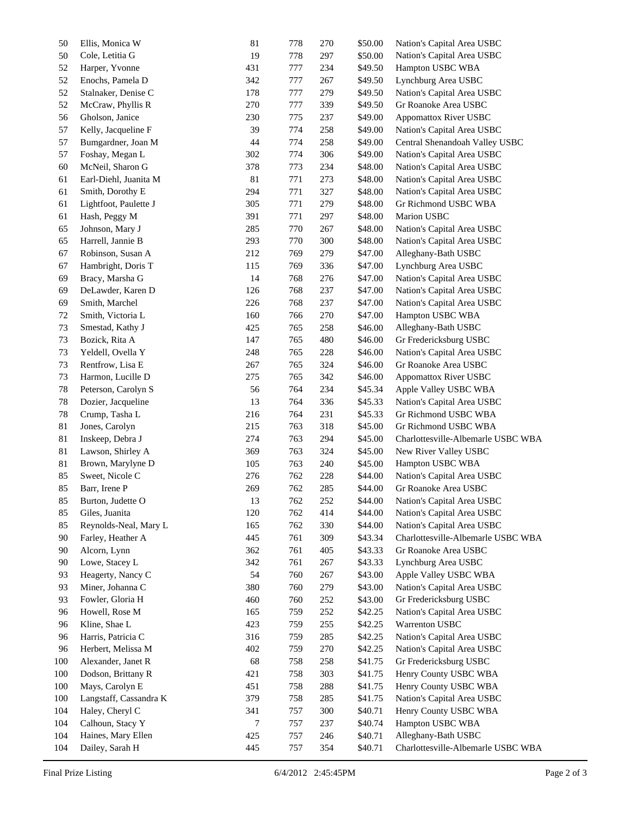| 50  | Ellis, Monica W        | 81  | 778 | 270 | \$50.00 | Nation's Capital Area USBC         |
|-----|------------------------|-----|-----|-----|---------|------------------------------------|
| 50  | Cole, Letitia G        | 19  | 778 | 297 | \$50.00 | Nation's Capital Area USBC         |
| 52  | Harper, Yvonne         | 431 | 777 | 234 | \$49.50 | Hampton USBC WBA                   |
| 52  | Enochs, Pamela D       | 342 | 777 | 267 | \$49.50 | Lynchburg Area USBC                |
| 52  | Stalnaker, Denise C    | 178 | 777 | 279 | \$49.50 | Nation's Capital Area USBC         |
| 52  | McCraw, Phyllis R      | 270 | 777 | 339 | \$49.50 | Gr Roanoke Area USBC               |
| 56  | Gholson, Janice        | 230 | 775 | 237 | \$49.00 | <b>Appomattox River USBC</b>       |
| 57  | Kelly, Jacqueline F    | 39  | 774 | 258 | \$49.00 | Nation's Capital Area USBC         |
| 57  | Bumgardner, Joan M     | 44  | 774 | 258 | \$49.00 | Central Shenandoah Valley USBC     |
| 57  | Foshay, Megan L        | 302 | 774 | 306 | \$49.00 | Nation's Capital Area USBC         |
| 60  | McNeil, Sharon G       | 378 | 773 | 234 | \$48.00 | Nation's Capital Area USBC         |
| 61  | Earl-Diehl, Juanita M  | 81  | 771 | 273 | \$48.00 | Nation's Capital Area USBC         |
| 61  | Smith, Dorothy E       | 294 | 771 | 327 | \$48.00 | Nation's Capital Area USBC         |
| 61  | Lightfoot, Paulette J  | 305 | 771 | 279 | \$48.00 | Gr Richmond USBC WBA               |
| 61  | Hash, Peggy M          | 391 | 771 | 297 | \$48.00 | Marion USBC                        |
| 65  | Johnson, Mary J        | 285 | 770 | 267 | \$48.00 | Nation's Capital Area USBC         |
|     |                        |     |     |     |         | Nation's Capital Area USBC         |
| 65  | Harrell, Jannie B      | 293 | 770 | 300 | \$48.00 |                                    |
| 67  | Robinson, Susan A      | 212 | 769 | 279 | \$47.00 | Alleghany-Bath USBC                |
| 67  | Hambright, Doris T     | 115 | 769 | 336 | \$47.00 | Lynchburg Area USBC                |
| 69  | Bracy, Marsha G        | 14  | 768 | 276 | \$47.00 | Nation's Capital Area USBC         |
| 69  | DeLawder, Karen D      | 126 | 768 | 237 | \$47.00 | Nation's Capital Area USBC         |
| 69  | Smith, Marchel         | 226 | 768 | 237 | \$47.00 | Nation's Capital Area USBC         |
| 72  | Smith, Victoria L      | 160 | 766 | 270 | \$47.00 | Hampton USBC WBA                   |
| 73  | Smestad, Kathy J       | 425 | 765 | 258 | \$46.00 | Alleghany-Bath USBC                |
| 73  | Bozick, Rita A         | 147 | 765 | 480 | \$46.00 | Gr Fredericksburg USBC             |
| 73  | Yeldell, Ovella Y      | 248 | 765 | 228 | \$46.00 | Nation's Capital Area USBC         |
| 73  | Rentfrow, Lisa E       | 267 | 765 | 324 | \$46.00 | Gr Roanoke Area USBC               |
| 73  | Harmon, Lucille D      | 275 | 765 | 342 | \$46.00 | <b>Appomattox River USBC</b>       |
| 78  | Peterson, Carolyn S    | 56  | 764 | 234 | \$45.34 | Apple Valley USBC WBA              |
| 78  | Dozier, Jacqueline     | 13  | 764 | 336 | \$45.33 | Nation's Capital Area USBC         |
| 78  | Crump, Tasha L         | 216 | 764 | 231 | \$45.33 | Gr Richmond USBC WBA               |
| 81  | Jones, Carolyn         | 215 | 763 | 318 | \$45.00 | Gr Richmond USBC WBA               |
| 81  | Inskeep, Debra J       | 274 | 763 | 294 | \$45.00 | Charlottesville-Albemarle USBC WBA |
| 81  | Lawson, Shirley A      | 369 | 763 | 324 | \$45.00 | New River Valley USBC              |
| 81  | Brown, Marylyne D      | 105 | 763 | 240 | \$45.00 | Hampton USBC WBA                   |
| 85  | Sweet, Nicole C        | 276 | 762 | 228 | \$44.00 | Nation's Capital Area USBC         |
| 85  | Barr, Irene P          | 269 | 762 | 285 | \$44.00 | Gr Roanoke Area USBC               |
| 85  | Burton, Judette O      | 13  | 762 | 252 | \$44.00 | Nation's Capital Area USBC         |
| 85  | Giles, Juanita         | 120 | 762 | 414 | \$44.00 | Nation's Capital Area USBC         |
| 85  | Reynolds-Neal, Mary L  | 165 | 762 | 330 | \$44.00 | Nation's Capital Area USBC         |
| 90  | Farley, Heather A      | 445 | 761 | 309 | \$43.34 | Charlottesville-Albemarle USBC WBA |
| 90  | Alcorn, Lynn           | 362 | 761 | 405 | \$43.33 | Gr Roanoke Area USBC               |
| 90  | Lowe, Stacey L         | 342 | 761 | 267 | \$43.33 | Lynchburg Area USBC                |
|     |                        |     |     |     |         |                                    |
| 93  | Heagerty, Nancy C      | 54  | 760 | 267 | \$43.00 | Apple Valley USBC WBA              |
| 93  | Miner, Johanna C       | 380 | 760 | 279 | \$43.00 | Nation's Capital Area USBC         |
| 93  | Fowler, Gloria H       | 460 | 760 | 252 | \$43.00 | Gr Fredericksburg USBC             |
| 96  | Howell, Rose M         | 165 | 759 | 252 | \$42.25 | Nation's Capital Area USBC         |
| 96  | Kline, Shae L          | 423 | 759 | 255 | \$42.25 | Warrenton USBC                     |
| 96  | Harris, Patricia C     | 316 | 759 | 285 | \$42.25 | Nation's Capital Area USBC         |
| 96  | Herbert, Melissa M     | 402 | 759 | 270 | \$42.25 | Nation's Capital Area USBC         |
| 100 | Alexander, Janet R     | 68  | 758 | 258 | \$41.75 | Gr Fredericksburg USBC             |
| 100 | Dodson, Brittany R     | 421 | 758 | 303 | \$41.75 | Henry County USBC WBA              |
| 100 | Mays, Carolyn E        | 451 | 758 | 288 | \$41.75 | Henry County USBC WBA              |
| 100 | Langstaff, Cassandra K | 379 | 758 | 285 | \$41.75 | Nation's Capital Area USBC         |
| 104 | Haley, Cheryl C        | 341 | 757 | 300 | \$40.71 | Henry County USBC WBA              |
| 104 | Calhoun, Stacy Y       | 7   | 757 | 237 | \$40.74 | Hampton USBC WBA                   |
| 104 | Haines, Mary Ellen     | 425 | 757 | 246 | \$40.71 | Alleghany-Bath USBC                |
| 104 | Dailey, Sarah H        | 445 | 757 | 354 | \$40.71 | Charlottesville-Albemarle USBC WBA |
|     |                        |     |     |     |         |                                    |